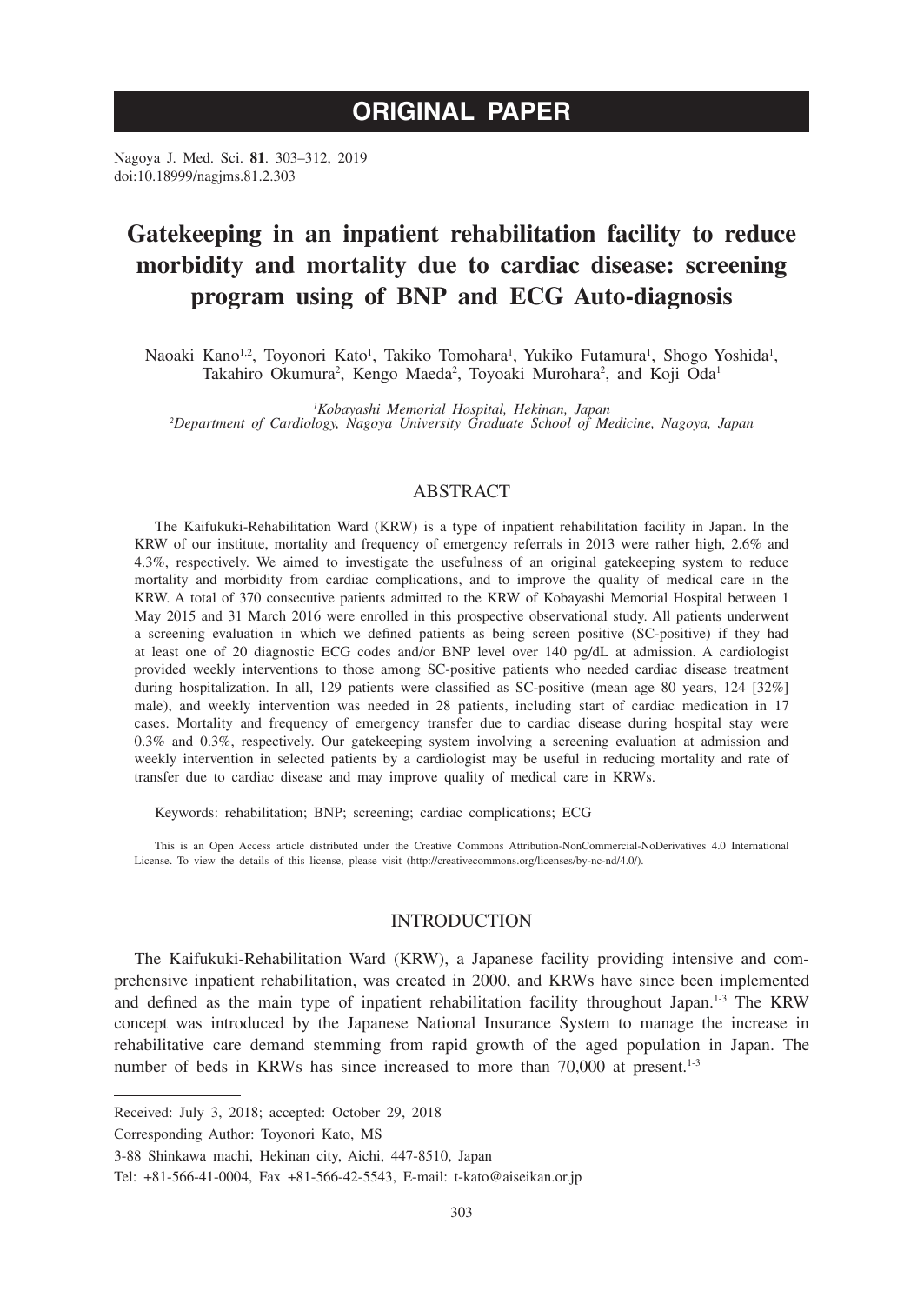# **ORIGINAL PAPER**

Nagoya J. Med. Sci. **81**. 303–312, 2019 doi:10.18999/nagjms.81.2.303

# **Gatekeeping in an inpatient rehabilitation facility to reduce morbidity and mortality due to cardiac disease: screening program using of BNP and ECG Auto-diagnosis**

Naoaki Kano<sup>1,2</sup>, Toyonori Kato<sup>1</sup>, Takiko Tomohara<sup>1</sup>, Yukiko Futamura<sup>1</sup>, Shogo Yoshida<sup>1</sup>, Takahiro Okumura<sup>2</sup>, Kengo Maeda<sup>2</sup>, Toyoaki Murohara<sup>2</sup>, and Koji Oda<sup>1</sup>

*1 Kobayashi Memorial Hospital, Hekinan, Japan <sup>2</sup> Department of Cardiology, Nagoya University Graduate School of Medicine, Nagoya, Japan*

## ABSTRACT

The Kaifukuki-Rehabilitation Ward (KRW) is a type of inpatient rehabilitation facility in Japan. In the KRW of our institute, mortality and frequency of emergency referrals in 2013 were rather high, 2.6% and 4.3%, respectively. We aimed to investigate the usefulness of an original gatekeeping system to reduce mortality and morbidity from cardiac complications, and to improve the quality of medical care in the KRW. A total of 370 consecutive patients admitted to the KRW of Kobayashi Memorial Hospital between 1 May 2015 and 31 March 2016 were enrolled in this prospective observational study. All patients underwent a screening evaluation in which we defined patients as being screen positive (SC-positive) if they had at least one of 20 diagnostic ECG codes and/or BNP level over 140 pg/dL at admission. A cardiologist provided weekly interventions to those among SC-positive patients who needed cardiac disease treatment during hospitalization. In all, 129 patients were classified as SC-positive (mean age 80 years, 124 [32%] male), and weekly intervention was needed in 28 patients, including start of cardiac medication in 17 cases. Mortality and frequency of emergency transfer due to cardiac disease during hospital stay were 0.3% and 0.3%, respectively. Our gatekeeping system involving a screening evaluation at admission and weekly intervention in selected patients by a cardiologist may be useful in reducing mortality and rate of transfer due to cardiac disease and may improve quality of medical care in KRWs.

Keywords: rehabilitation; BNP; screening; cardiac complications; ECG

This is an Open Access article distributed under the Creative Commons Attribution-NonCommercial-NoDerivatives 4.0 International License. To view the details of this license, please visit (http://creativecommons.org/licenses/by-nc-nd/4.0/).

## INTRODUCTION

The Kaifukuki-Rehabilitation Ward (KRW), a Japanese facility providing intensive and comprehensive inpatient rehabilitation, was created in 2000, and KRWs have since been implemented and defined as the main type of inpatient rehabilitation facility throughout Japan.1-3 The KRW concept was introduced by the Japanese National Insurance System to manage the increase in rehabilitative care demand stemming from rapid growth of the aged population in Japan. The number of beds in KRWs has since increased to more than 70,000 at present.<sup>1-3</sup>

Received: July 3, 2018; accepted: October 29, 2018

Corresponding Author: Toyonori Kato, MS

<sup>3-88</sup> Shinkawa machi, Hekinan city, Aichi, 447-8510, Japan

Tel: +81-566-41-0004, Fax +81-566-42-5543, E-mail: t-kato@aiseikan.or.jp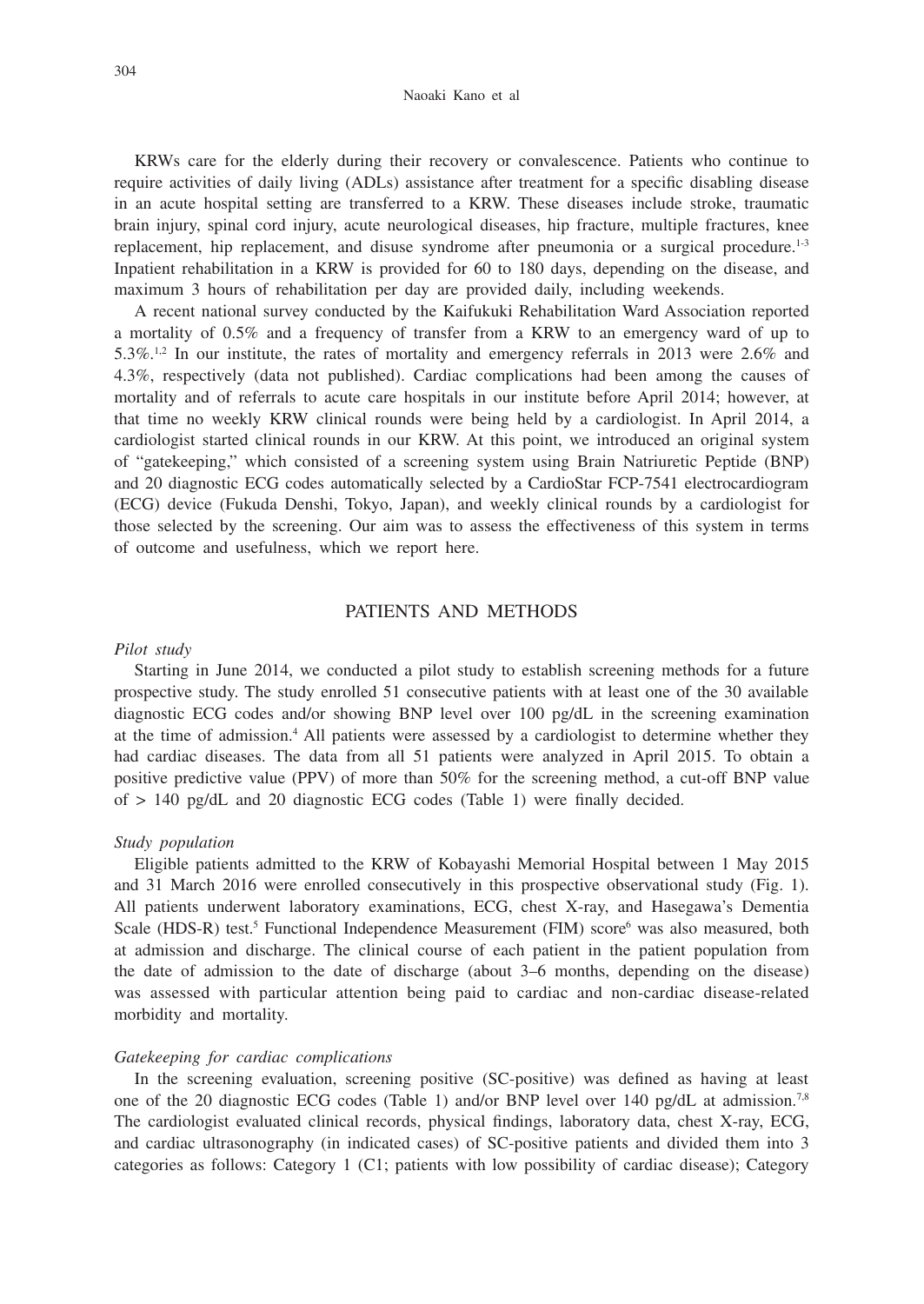KRWs care for the elderly during their recovery or convalescence. Patients who continue to require activities of daily living (ADLs) assistance after treatment for a specific disabling disease in an acute hospital setting are transferred to a KRW. These diseases include stroke, traumatic brain injury, spinal cord injury, acute neurological diseases, hip fracture, multiple fractures, knee replacement, hip replacement, and disuse syndrome after pneumonia or a surgical procedure.<sup>1-3</sup> Inpatient rehabilitation in a KRW is provided for 60 to 180 days, depending on the disease, and maximum 3 hours of rehabilitation per day are provided daily, including weekends.

A recent national survey conducted by the Kaifukuki Rehabilitation Ward Association reported a mortality of 0.5% and a frequency of transfer from a KRW to an emergency ward of up to 5.3%.1,2 In our institute, the rates of mortality and emergency referrals in 2013 were 2.6% and 4.3%, respectively (data not published). Cardiac complications had been among the causes of mortality and of referrals to acute care hospitals in our institute before April 2014; however, at that time no weekly KRW clinical rounds were being held by a cardiologist. In April 2014, a cardiologist started clinical rounds in our KRW. At this point, we introduced an original system of "gatekeeping," which consisted of a screening system using Brain Natriuretic Peptide (BNP) and 20 diagnostic ECG codes automatically selected by a CardioStar FCP-7541 electrocardiogram (ECG) device (Fukuda Denshi, Tokyo, Japan), and weekly clinical rounds by a cardiologist for those selected by the screening. Our aim was to assess the effectiveness of this system in terms of outcome and usefulness, which we report here.

## PATIENTS AND METHODS

#### *Pilot study*

Starting in June 2014, we conducted a pilot study to establish screening methods for a future prospective study. The study enrolled 51 consecutive patients with at least one of the 30 available diagnostic ECG codes and/or showing BNP level over 100 pg/dL in the screening examination at the time of admission.<sup>4</sup> All patients were assessed by a cardiologist to determine whether they had cardiac diseases. The data from all 51 patients were analyzed in April 2015. To obtain a positive predictive value (PPV) of more than 50% for the screening method, a cut-off BNP value of  $> 140$  pg/dL and 20 diagnostic ECG codes (Table 1) were finally decided.

#### *Study population*

Eligible patients admitted to the KRW of Kobayashi Memorial Hospital between 1 May 2015 and 31 March 2016 were enrolled consecutively in this prospective observational study (Fig. 1). All patients underwent laboratory examinations, ECG, chest X-ray, and Hasegawa's Dementia Scale (HDS-R) test.<sup>5</sup> Functional Independence Measurement (FIM) score<sup>6</sup> was also measured, both at admission and discharge. The clinical course of each patient in the patient population from the date of admission to the date of discharge (about 3–6 months, depending on the disease) was assessed with particular attention being paid to cardiac and non-cardiac disease-related morbidity and mortality.

#### *Gatekeeping for cardiac complications*

In the screening evaluation, screening positive (SC-positive) was defined as having at least one of the 20 diagnostic ECG codes (Table 1) and/or BNP level over 140 pg/dL at admission.<sup>7,8</sup> The cardiologist evaluated clinical records, physical findings, laboratory data, chest X-ray, ECG, and cardiac ultrasonography (in indicated cases) of SC-positive patients and divided them into 3 categories as follows: Category 1 (C1; patients with low possibility of cardiac disease); Category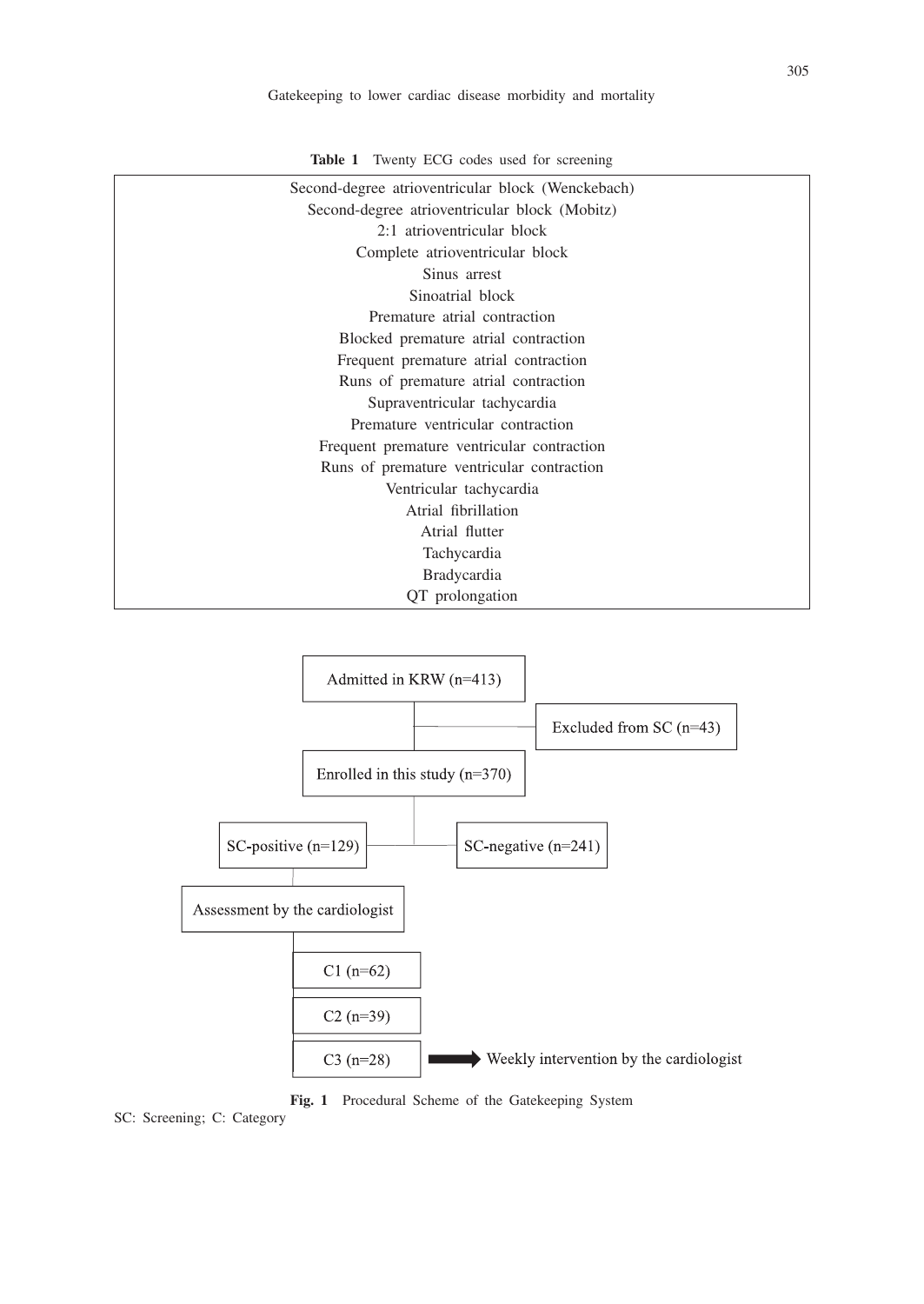| Second-degree atrioventricular block (Wenckebach) |
|---------------------------------------------------|
| Second-degree atrioventricular block (Mobitz)     |
| 2:1 atrioventricular block                        |
| Complete atrioventricular block                   |
| Sinus arrest                                      |
| Sinoatrial block                                  |
| Premature atrial contraction                      |
| Blocked premature atrial contraction              |
| Frequent premature atrial contraction             |
| Runs of premature atrial contraction              |
| Supraventricular tachycardia                      |
| Premature ventricular contraction                 |
| Frequent premature ventricular contraction        |
| Runs of premature ventricular contraction         |
| Ventricular tachycardia                           |
| Atrial fibrillation                               |
| Atrial flutter                                    |
| Tachycardia                                       |
| <b>Bradycardia</b>                                |
| QT prolongation                                   |
|                                                   |





**Fig. 1** Procedural Scheme of the Gatekeeping System

SC: Screening; C: Category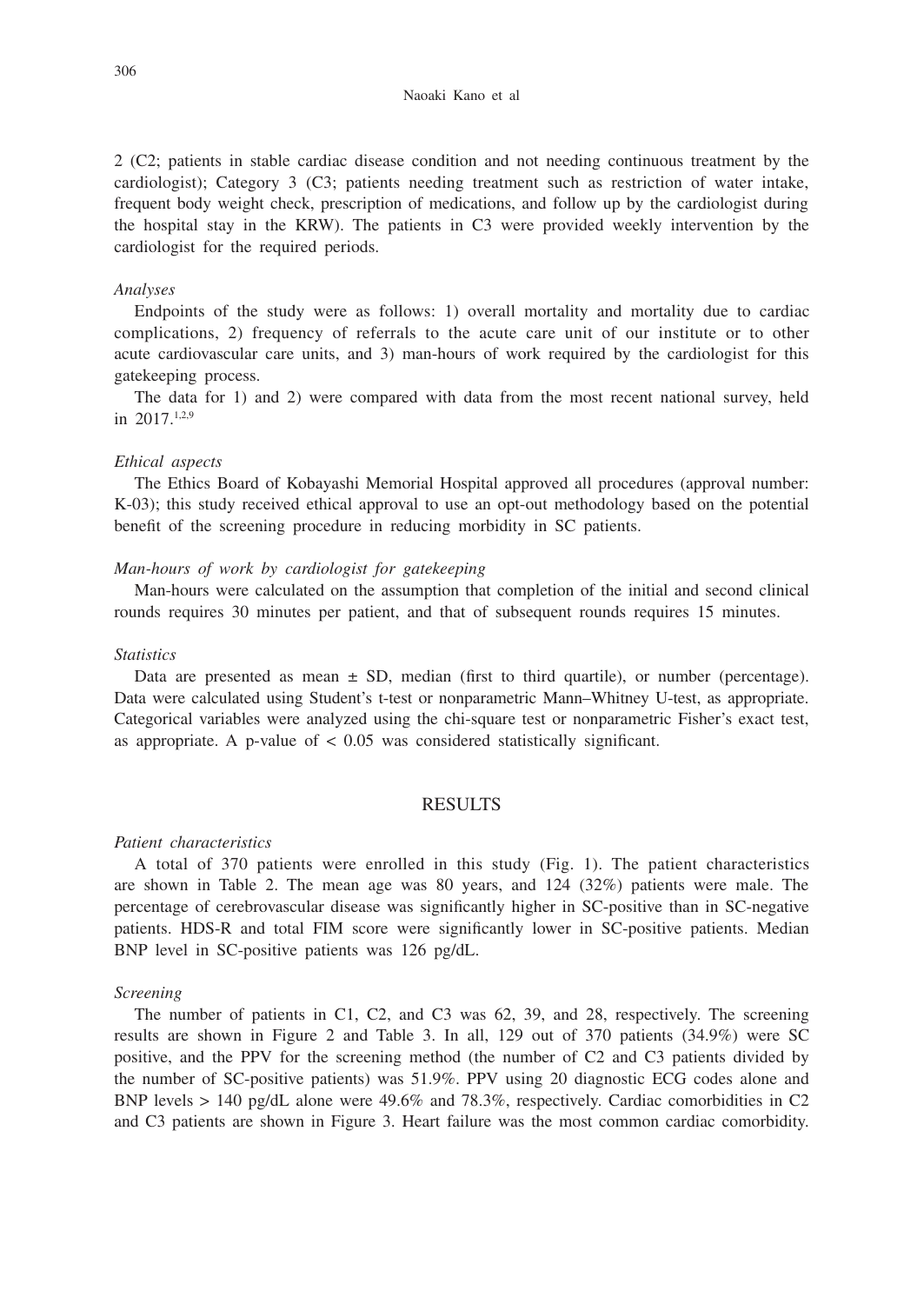2 (C2; patients in stable cardiac disease condition and not needing continuous treatment by the cardiologist); Category 3 (C3; patients needing treatment such as restriction of water intake, frequent body weight check, prescription of medications, and follow up by the cardiologist during the hospital stay in the KRW). The patients in C3 were provided weekly intervention by the cardiologist for the required periods.

#### *Analyses*

Endpoints of the study were as follows: 1) overall mortality and mortality due to cardiac complications, 2) frequency of referrals to the acute care unit of our institute or to other acute cardiovascular care units, and 3) man-hours of work required by the cardiologist for this gatekeeping process.

The data for 1) and 2) were compared with data from the most recent national survey, held in  $2017$ <sup>1,2,9</sup>

#### *Ethical aspects*

The Ethics Board of Kobayashi Memorial Hospital approved all procedures (approval number: K-03); this study received ethical approval to use an opt-out methodology based on the potential benefit of the screening procedure in reducing morbidity in SC patients.

## *Man-hours of work by cardiologist for gatekeeping*

Man-hours were calculated on the assumption that completion of the initial and second clinical rounds requires 30 minutes per patient, and that of subsequent rounds requires 15 minutes.

#### *Statistics*

Data are presented as mean  $\pm$  SD, median (first to third quartile), or number (percentage). Data were calculated using Student's t-test or nonparametric Mann–Whitney U-test, as appropriate. Categorical variables were analyzed using the chi-square test or nonparametric Fisher's exact test, as appropriate. A p-value of  $< 0.05$  was considered statistically significant.

## RESULTS

#### *Patient characteristics*

A total of 370 patients were enrolled in this study (Fig. 1). The patient characteristics are shown in Table 2. The mean age was 80 years, and 124 (32%) patients were male. The percentage of cerebrovascular disease was significantly higher in SC-positive than in SC-negative patients. HDS-R and total FIM score were significantly lower in SC-positive patients. Median BNP level in SC-positive patients was 126 pg/dL.

## *Screening*

The number of patients in C1, C2, and C3 was 62, 39, and 28, respectively. The screening results are shown in Figure 2 and Table 3. In all, 129 out of 370 patients (34.9%) were SC positive, and the PPV for the screening method (the number of C2 and C3 patients divided by the number of SC-positive patients) was 51.9%. PPV using 20 diagnostic ECG codes alone and BNP levels > 140 pg/dL alone were 49.6% and 78.3%, respectively. Cardiac comorbidities in C2 and C3 patients are shown in Figure 3. Heart failure was the most common cardiac comorbidity.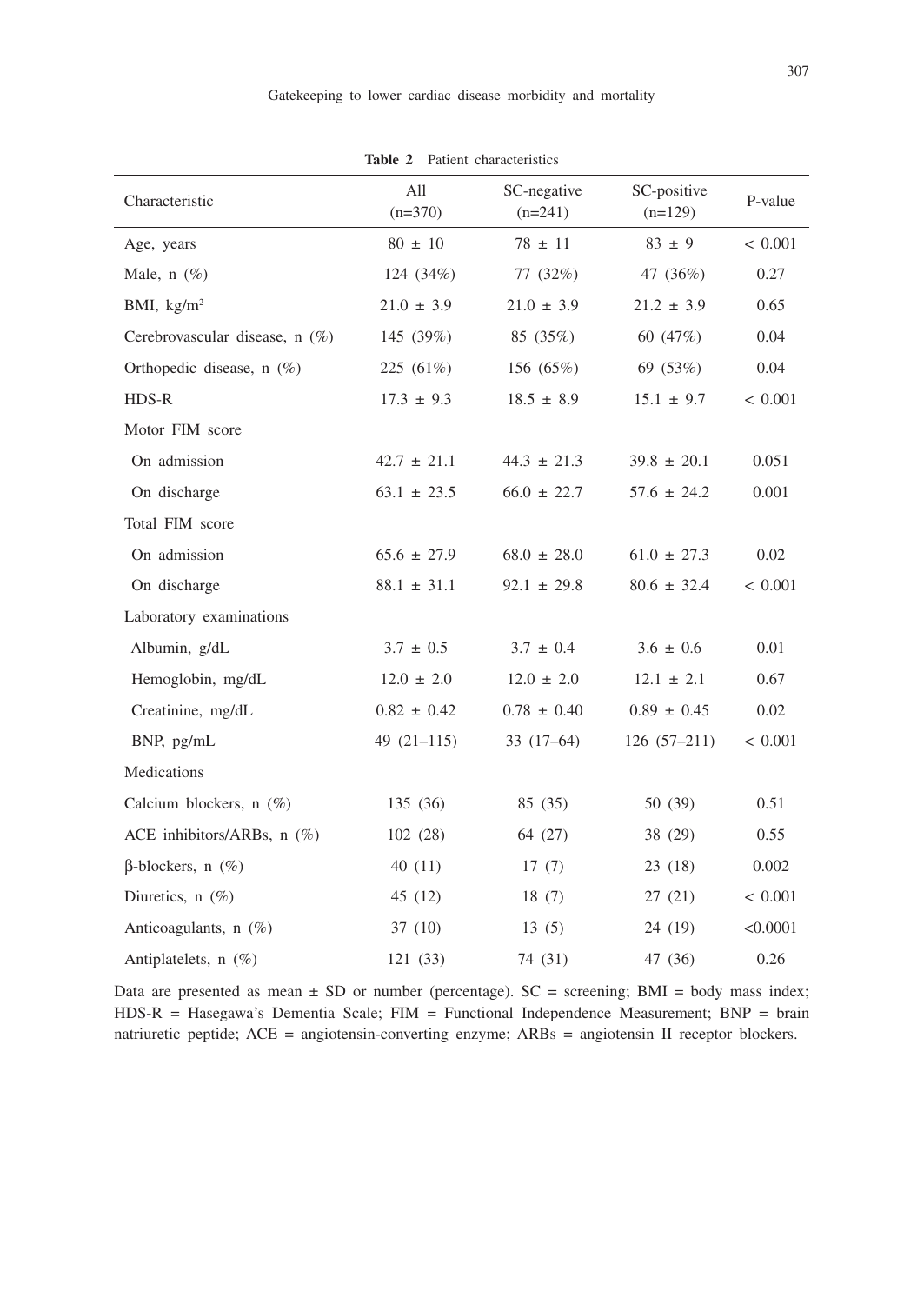| Characteristic                 | All<br>$(n=370)$ | SC-negative<br>$(n=241)$ | SC-positive<br>$(n=129)$ | P-value  |  |  |
|--------------------------------|------------------|--------------------------|--------------------------|----------|--|--|
| Age, years                     | $80 \pm 10$      | $78 \pm 11$              | $83 \pm 9$               | < 0.001  |  |  |
| Male, $n$ (%)                  | 124 (34%)        | 77 (32%)                 | 47 (36%)                 | 0.27     |  |  |
| BMI, $\text{kg/m}^2$           | $21.0 \pm 3.9$   | $21.0 \pm 3.9$           | $21.2 \pm 3.9$           | 0.65     |  |  |
| Cerebrovascular disease, n (%) | 145 (39%)        | 85 (35%)                 | 60 (47%)                 | 0.04     |  |  |
| Orthopedic disease, $n$ (%)    | $225(61\%)$      | 156 (65%)                | 69 (53%)                 | 0.04     |  |  |
| HDS-R                          | $17.3 \pm 9.3$   | $18.5 \pm 8.9$           | $15.1 \pm 9.7$           | < 0.001  |  |  |
| Motor FIM score                |                  |                          |                          |          |  |  |
| On admission                   | $42.7 \pm 21.1$  | $44.3 \pm 21.3$          | $39.8 \pm 20.1$          | 0.051    |  |  |
| On discharge                   | $63.1 \pm 23.5$  | $66.0 \pm 22.7$          | $57.6 \pm 24.2$          | 0.001    |  |  |
| Total FIM score                |                  |                          |                          |          |  |  |
| On admission                   | $65.6 \pm 27.9$  | $68.0 \pm 28.0$          | $61.0 \pm 27.3$          | 0.02     |  |  |
| On discharge                   | $88.1 \pm 31.1$  | $92.1 \pm 29.8$          | $80.6 \pm 32.4$          | < 0.001  |  |  |
| Laboratory examinations        |                  |                          |                          |          |  |  |
| Albumin, g/dL                  | $3.7 \pm 0.5$    | $3.7 \pm 0.4$            | $3.6 \pm 0.6$            | 0.01     |  |  |
| Hemoglobin, mg/dL              | $12.0 \pm 2.0$   | $12.0 \pm 2.0$           | $12.1 \pm 2.1$           | 0.67     |  |  |
| Creatinine, mg/dL              | $0.82 \pm 0.42$  | $0.78 \pm 0.40$          | $0.89 \pm 0.45$          | 0.02     |  |  |
| BNP, pg/mL                     | 49 $(21-115)$    | $33(17-64)$              | $126(57-211)$            | < 0.001  |  |  |
| Medications                    |                  |                          |                          |          |  |  |
| Calcium blockers, n (%)        | 135 (36)         | 85 (35)                  | 50 (39)                  | 0.51     |  |  |
| ACE inhibitors/ARBs, n (%)     | 102(28)          | 64 (27)                  | 38 (29)                  | 0.55     |  |  |
| $\beta$ -blockers, n $(\%)$    | 40(11)           | 17(7)                    | 23(18)                   | 0.002    |  |  |
| Diuretics, $n$ (%)             | 45 (12)          | 18(7)                    | 27(21)                   | < 0.001  |  |  |
| Anticoagulants, n (%)          | 37(10)           | 13(5)                    | 24 (19)                  | < 0.0001 |  |  |
| Antiplatelets, n (%)           | 121 (33)         | 74 (31)                  | 47 (36)                  | 0.26     |  |  |

**Table 2** Patient characteristics

Data are presented as mean  $\pm$  SD or number (percentage). SC = screening; BMI = body mass index; HDS-R = Hasegawa's Dementia Scale; FIM = Functional Independence Measurement; BNP = brain natriuretic peptide; ACE = angiotensin-converting enzyme; ARBs = angiotensin II receptor blockers.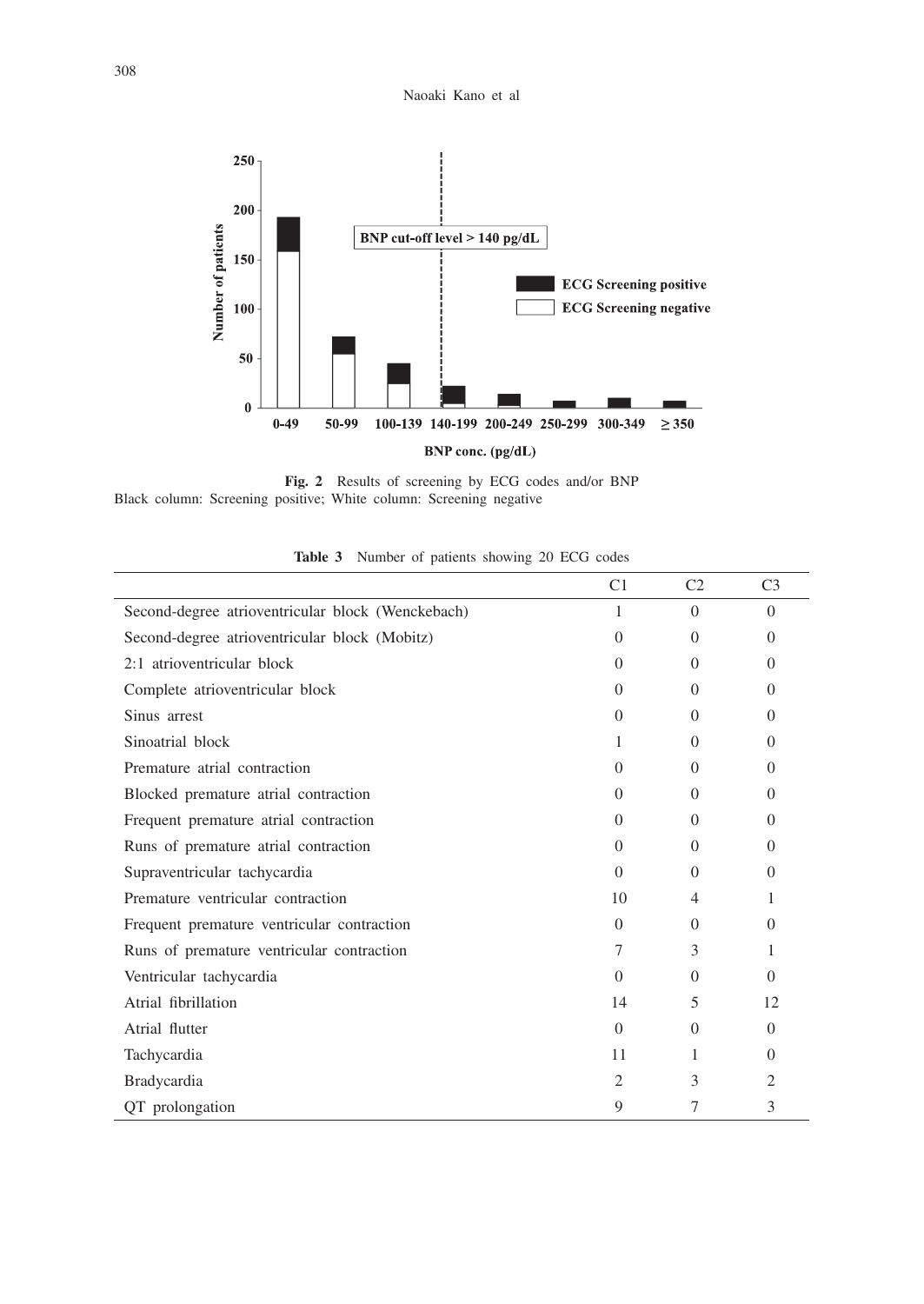

**Fig. 2** Results of screening by ECG codes and/or BNP Black column: Screening positive; White column: Screening negative

|                                                   | C1       | C <sub>2</sub> | C <sub>3</sub> |
|---------------------------------------------------|----------|----------------|----------------|
| Second-degree atrioventricular block (Wenckebach) | 1        | $\Omega$       | $\Omega$       |
| Second-degree atrioventricular block (Mobitz)     | $\Omega$ | $\Omega$       | $\Omega$       |
| 2:1 atrioventricular block                        | $\Omega$ | $\Omega$       | $\Omega$       |
| Complete atrioventricular block                   | $\Omega$ | $\Omega$       | $\Omega$       |
| Sinus arrest                                      | $\Omega$ | $\Omega$       | $\Omega$       |
| Sinoatrial block                                  | 1        | $\Omega$       | $\Omega$       |
| Premature atrial contraction                      | $\Omega$ | $\Omega$       | $\Omega$       |
| Blocked premature atrial contraction              | $\Omega$ | $\Omega$       | $\Omega$       |
| Frequent premature atrial contraction             | $\Omega$ | $\Omega$       | $\Omega$       |
| Runs of premature atrial contraction              | $\Omega$ | $\Omega$       | $\Omega$       |
| Supraventricular tachycardia                      | $\Omega$ | $\Omega$       | $\Omega$       |
| Premature ventricular contraction                 | 10       | 4              | 1              |
| Frequent premature ventricular contraction        | $\Omega$ | $\Omega$       | $\Omega$       |
| Runs of premature ventricular contraction         | 7        | 3              | 1              |
| Ventricular tachycardia                           | $\Omega$ | $\Omega$       | $\Omega$       |
| Atrial fibrillation                               | 14       | 5              | 12             |
| Atrial flutter                                    | $\Omega$ | $\Omega$       | $\Omega$       |
| Tachycardia                                       | 11       | 1              | $\Omega$       |
| Bradycardia                                       | 2        | 3              | 2              |
| QT prolongation                                   | 9        | 7              | 3              |

**Table 3** Number of patients showing 20 ECG codes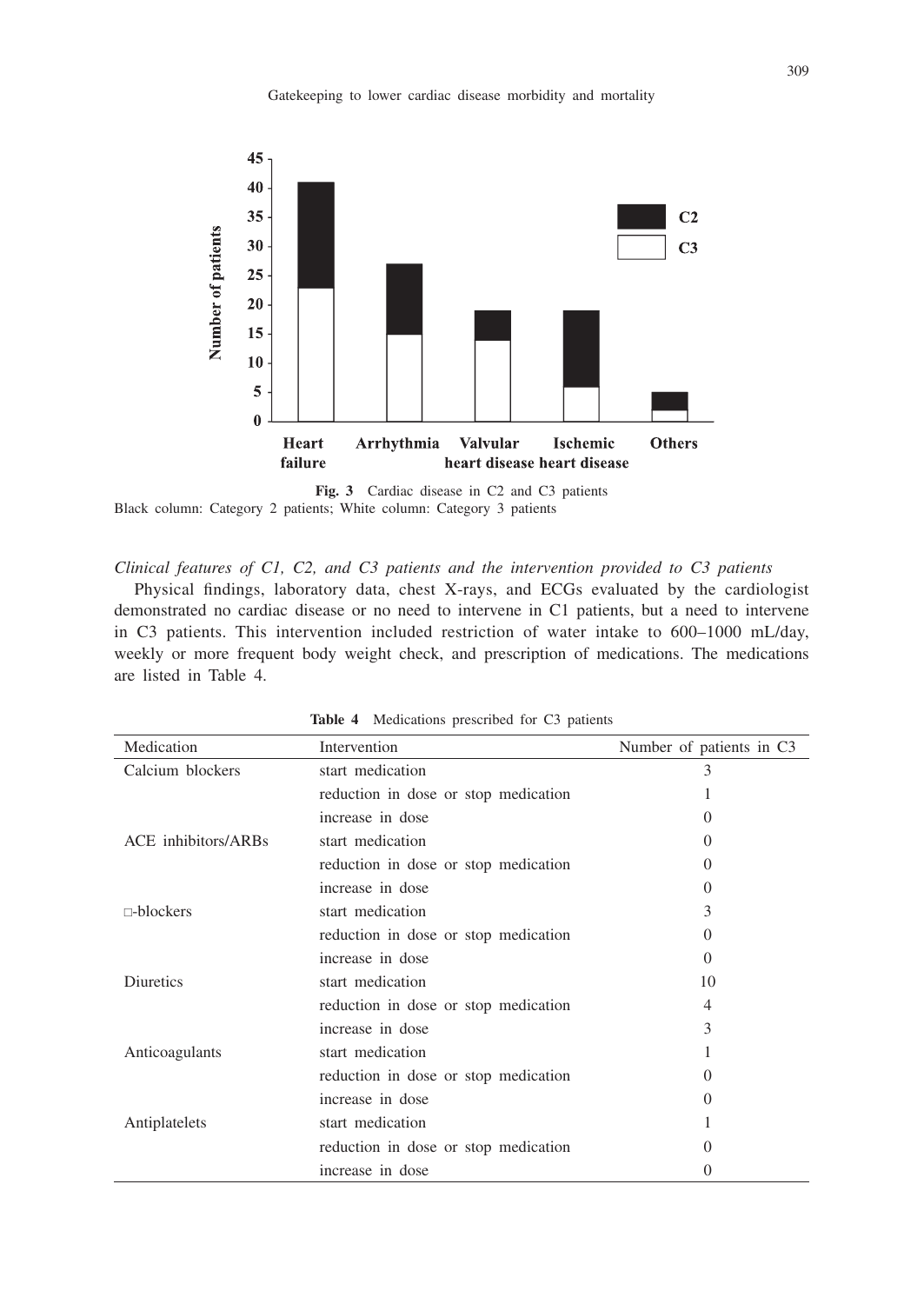

**Fig. 3** Cardiac disease in C2 and C3 patients Black column: Category 2 patients; White column: Category 3 patients

*Clinical features of C1, C2, and C3 patients and the intervention provided to C3 patients*

Physical findings, laboratory data, chest X-rays, and ECGs evaluated by the cardiologist demonstrated no cardiac disease or no need to intervene in C1 patients, but a need to intervene in C3 patients. This intervention included restriction of water intake to 600–1000 mL/day, weekly or more frequent body weight check, and prescription of medications. The medications are listed in Table 4.

| Medication          | Intervention                         | Number of patients in C3 |
|---------------------|--------------------------------------|--------------------------|
| Calcium blockers    | start medication                     | 3                        |
|                     | reduction in dose or stop medication |                          |
|                     | increase in dose                     | $\mathbf{\Omega}$        |
| ACE inhibitors/ARBs | start medication                     | 0                        |
|                     | reduction in dose or stop medication | $\mathbf{0}$             |
|                     | increase in dose                     | $\mathbf{\Omega}$        |
| $\Box$ blockers     | start medication                     | 3                        |
|                     | reduction in dose or stop medication | $\mathbf{0}$             |
|                     | increase in dose                     | 0                        |
| Diuretics           | start medication                     | 10                       |
|                     | reduction in dose or stop medication | 4                        |
|                     | increase in dose                     | 3                        |
| Anticoagulants      | start medication                     |                          |
|                     | reduction in dose or stop medication | $\mathbf{\Omega}$        |
|                     | increase in dose                     | $\mathbf{\Omega}$        |
| Antiplatelets       | start medication                     |                          |
|                     | reduction in dose or stop medication | $\mathbf{\Omega}$        |
|                     | increase in dose                     | $\mathbf{O}$             |

**Table 4** Medications prescribed for C3 patients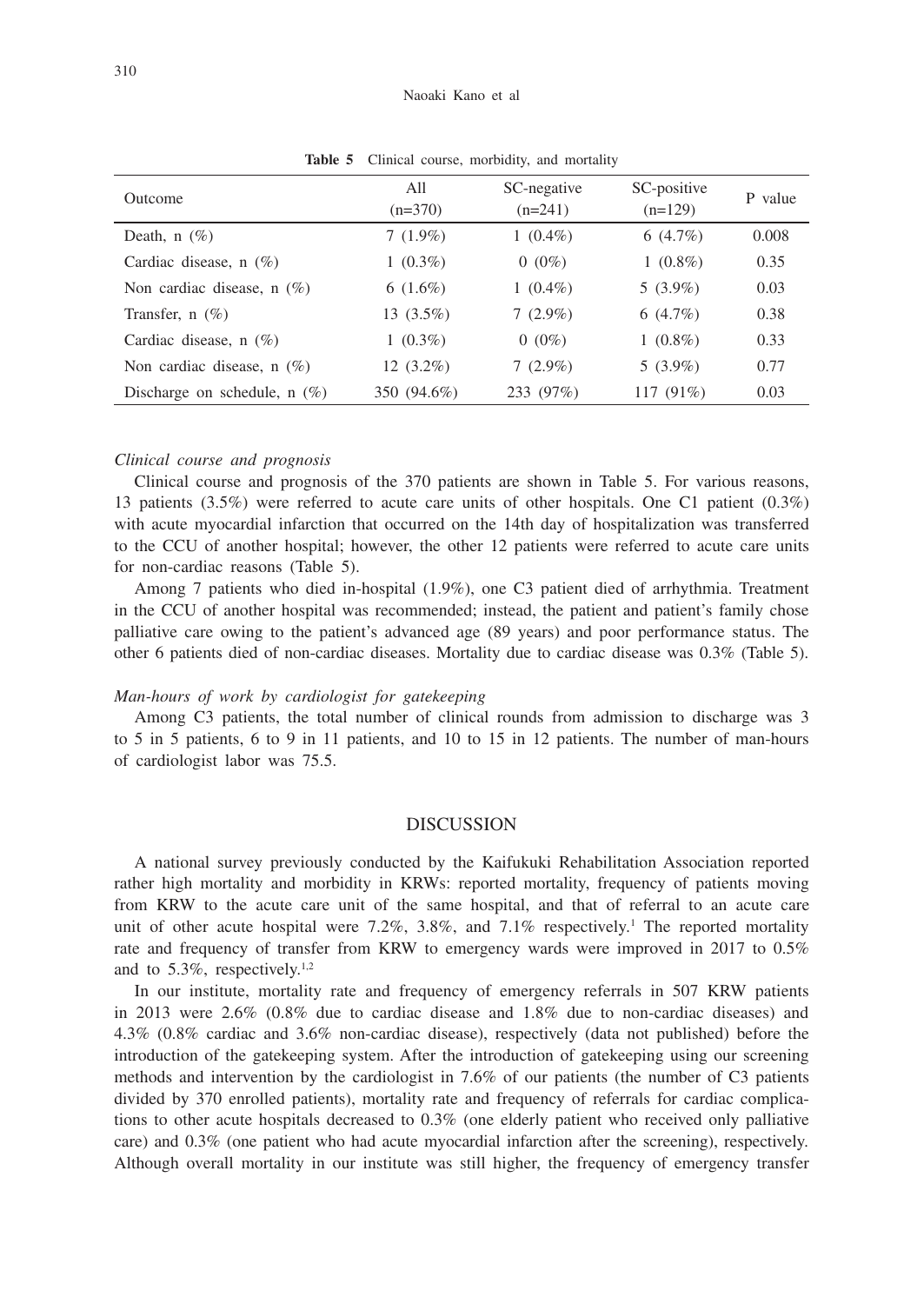| Outcome                        | All<br>$(n=370)$ | SC-negative<br>$(n=241)$ | SC-positive<br>$(n=129)$ | P value |
|--------------------------------|------------------|--------------------------|--------------------------|---------|
| Death, $n(\%)$                 | $7(1.9\%)$       | $1(0.4\%)$               | $6(4.7\%)$               | 0.008   |
| Cardiac disease, $n$ (%)       | $1(0.3\%)$       | $0(0\%)$                 | $1(0.8\%)$               | 0.35    |
| Non cardiac disease, $n$ (%)   | $6(1.6\%)$       | $1(0.4\%)$               | $5(3.9\%)$               | 0.03    |
| Transfer, $n$ (%)              | $13(3.5\%)$      | $7(2.9\%)$               | $6(4.7\%)$               | 0.38    |
| Cardiac disease, $n$ (%)       | $1(0.3\%)$       | $0(0\%)$                 | $1(0.8\%)$               | 0.33    |
| Non cardiac disease, $n(\%)$   | $12(3.2\%)$      | $7(2.9\%)$               | $5(3.9\%)$               | 0.77    |
| Discharge on schedule, $n(\%)$ | 350 (94.6%)      | 233 (97%)                | 117 $(91\%)$             | 0.03    |

Table 5 Clinical course, morbidity, and mortality

#### *Clinical course and prognosis*

Clinical course and prognosis of the 370 patients are shown in Table 5. For various reasons, 13 patients (3.5%) were referred to acute care units of other hospitals. One C1 patient (0.3%) with acute myocardial infarction that occurred on the 14th day of hospitalization was transferred to the CCU of another hospital; however, the other 12 patients were referred to acute care units for non-cardiac reasons (Table 5).

Among 7 patients who died in-hospital (1.9%), one C3 patient died of arrhythmia. Treatment in the CCU of another hospital was recommended; instead, the patient and patient's family chose palliative care owing to the patient's advanced age (89 years) and poor performance status. The other 6 patients died of non-cardiac diseases. Mortality due to cardiac disease was 0.3% (Table 5).

## *Man-hours of work by cardiologist for gatekeeping*

Among C3 patients, the total number of clinical rounds from admission to discharge was 3 to 5 in 5 patients, 6 to 9 in 11 patients, and 10 to 15 in 12 patients. The number of man-hours of cardiologist labor was 75.5.

#### DISCUSSION

A national survey previously conducted by the Kaifukuki Rehabilitation Association reported rather high mortality and morbidity in KRWs: reported mortality, frequency of patients moving from KRW to the acute care unit of the same hospital, and that of referral to an acute care unit of other acute hospital were 7.2%, 3.8%, and 7.1% respectively.<sup>1</sup> The reported mortality rate and frequency of transfer from KRW to emergency wards were improved in 2017 to 0.5% and to 5.3%, respectively.<sup>1,2</sup>

In our institute, mortality rate and frequency of emergency referrals in 507 KRW patients in 2013 were 2.6% (0.8% due to cardiac disease and 1.8% due to non-cardiac diseases) and 4.3% (0.8% cardiac and 3.6% non-cardiac disease), respectively (data not published) before the introduction of the gatekeeping system. After the introduction of gatekeeping using our screening methods and intervention by the cardiologist in 7.6% of our patients (the number of C3 patients divided by 370 enrolled patients), mortality rate and frequency of referrals for cardiac complications to other acute hospitals decreased to 0.3% (one elderly patient who received only palliative care) and 0.3% (one patient who had acute myocardial infarction after the screening), respectively. Although overall mortality in our institute was still higher, the frequency of emergency transfer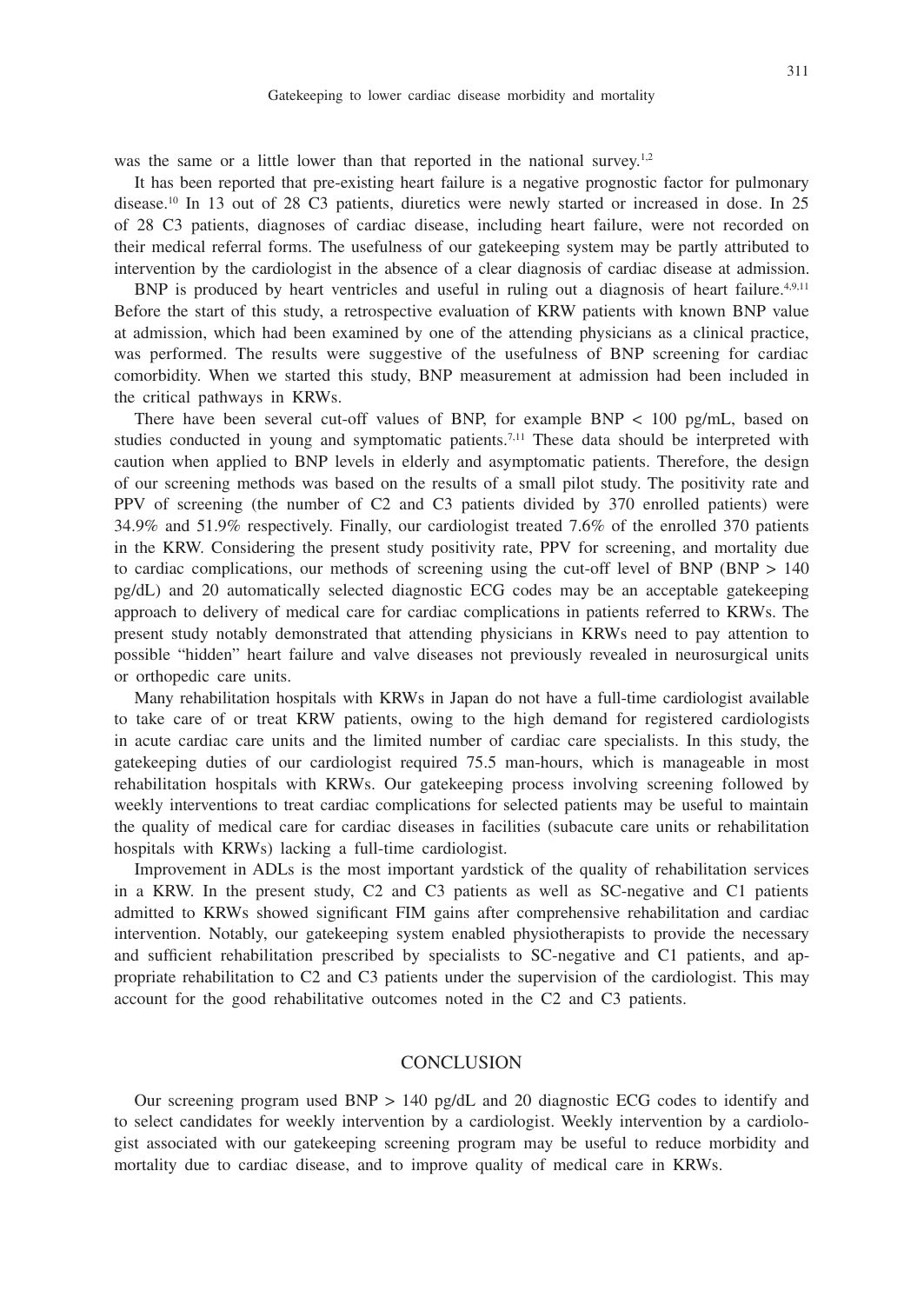was the same or a little lower than that reported in the national survey.<sup>1,2</sup>

It has been reported that pre-existing heart failure is a negative prognostic factor for pulmonary disease.10 In 13 out of 28 C3 patients, diuretics were newly started or increased in dose. In 25 of 28 C3 patients, diagnoses of cardiac disease, including heart failure, were not recorded on their medical referral forms. The usefulness of our gatekeeping system may be partly attributed to intervention by the cardiologist in the absence of a clear diagnosis of cardiac disease at admission.

BNP is produced by heart ventricles and useful in ruling out a diagnosis of heart failure.<sup>4,9,11</sup> Before the start of this study, a retrospective evaluation of KRW patients with known BNP value at admission, which had been examined by one of the attending physicians as a clinical practice, was performed. The results were suggestive of the usefulness of BNP screening for cardiac comorbidity. When we started this study, BNP measurement at admission had been included in the critical pathways in KRWs.

There have been several cut-off values of BNP, for example BNP < 100 pg/mL, based on studies conducted in young and symptomatic patients.<sup>7,11</sup> These data should be interpreted with caution when applied to BNP levels in elderly and asymptomatic patients. Therefore, the design of our screening methods was based on the results of a small pilot study. The positivity rate and PPV of screening (the number of C2 and C3 patients divided by 370 enrolled patients) were 34.9% and 51.9% respectively. Finally, our cardiologist treated 7.6% of the enrolled 370 patients in the KRW. Considering the present study positivity rate, PPV for screening, and mortality due to cardiac complications, our methods of screening using the cut-off level of BNP (BNP  $> 140$ ) pg/dL) and 20 automatically selected diagnostic ECG codes may be an acceptable gatekeeping approach to delivery of medical care for cardiac complications in patients referred to KRWs. The present study notably demonstrated that attending physicians in KRWs need to pay attention to possible "hidden" heart failure and valve diseases not previously revealed in neurosurgical units or orthopedic care units.

Many rehabilitation hospitals with KRWs in Japan do not have a full-time cardiologist available to take care of or treat KRW patients, owing to the high demand for registered cardiologists in acute cardiac care units and the limited number of cardiac care specialists. In this study, the gatekeeping duties of our cardiologist required 75.5 man-hours, which is manageable in most rehabilitation hospitals with KRWs. Our gatekeeping process involving screening followed by weekly interventions to treat cardiac complications for selected patients may be useful to maintain the quality of medical care for cardiac diseases in facilities (subacute care units or rehabilitation hospitals with KRWs) lacking a full-time cardiologist.

Improvement in ADLs is the most important yardstick of the quality of rehabilitation services in a KRW. In the present study, C2 and C3 patients as well as SC-negative and C1 patients admitted to KRWs showed significant FIM gains after comprehensive rehabilitation and cardiac intervention. Notably, our gatekeeping system enabled physiotherapists to provide the necessary and sufficient rehabilitation prescribed by specialists to SC-negative and C1 patients, and appropriate rehabilitation to C2 and C3 patients under the supervision of the cardiologist. This may account for the good rehabilitative outcomes noted in the C2 and C3 patients.

## **CONCLUSION**

Our screening program used BNP > 140 pg/dL and 20 diagnostic ECG codes to identify and to select candidates for weekly intervention by a cardiologist. Weekly intervention by a cardiologist associated with our gatekeeping screening program may be useful to reduce morbidity and mortality due to cardiac disease, and to improve quality of medical care in KRWs.